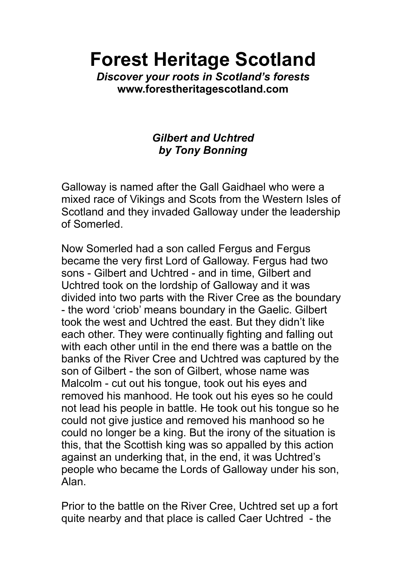**Forest Heritage Scotland**

*Discover your roots in Scotland's forests* **www.forestheritagescotland.com**

## *Gilbert and Uchtred by Tony Bonning*

Galloway is named after the Gall Gaidhael who were a mixed race of Vikings and Scots from the Western Isles of Scotland and they invaded Galloway under the leadership of Somerled.

Now Somerled had a son called Fergus and Fergus became the very first Lord of Galloway. Fergus had two sons - Gilbert and Uchtred - and in time, Gilbert and Uchtred took on the lordship of Galloway and it was divided into two parts with the River Cree as the boundary - the word 'criob' means boundary in the Gaelic. Gilbert took the west and Uchtred the east. But they didn't like each other. They were continually fighting and falling out with each other until in the end there was a battle on the banks of the River Cree and Uchtred was captured by the son of Gilbert - the son of Gilbert, whose name was Malcolm - cut out his tongue, took out his eyes and removed his manhood. He took out his eyes so he could not lead his people in battle. He took out his tongue so he could not give justice and removed his manhood so he could no longer be a king. But the irony of the situation is this, that the Scottish king was so appalled by this action against an underking that, in the end, it was Uchtred's people who became the Lords of Galloway under his son, Alan.

Prior to the battle on the River Cree, Uchtred set up a fort quite nearby and that place is called Caer Uchtred - the